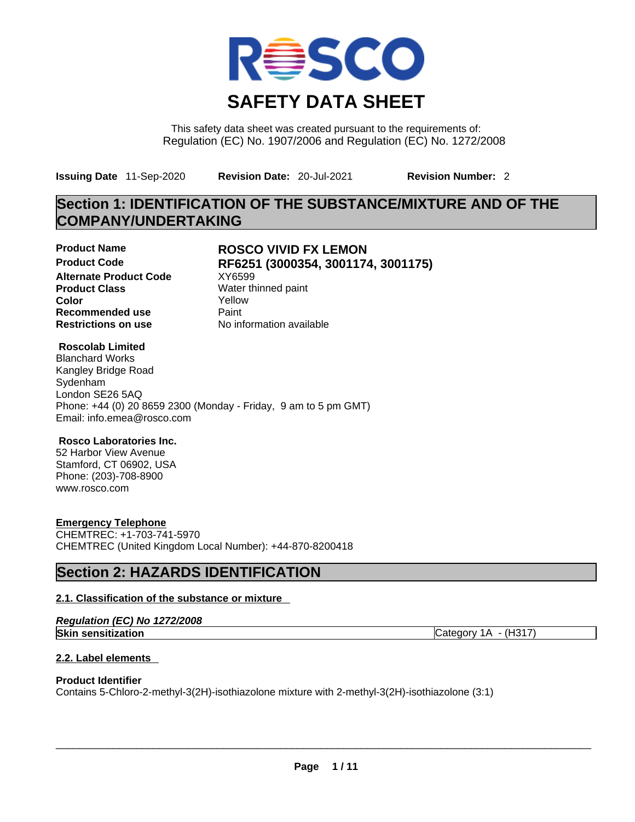

This safety data sheet was created pursuant to the requirements of: Regulation (EC) No. 1907/2006 and Regulation (EC) No. 1272/2008

**Issuing Date** 11-Sep-2020 **Revision Date:** 20-Jul-2021 **Revision Number:** 2

## **Section 1: IDENTIFICATION OF THE SUBSTANCE/MIXTURE AND OF THE COMPANY/UNDERTAKING**

**Alternate Product Code XY6599 Product Class Water thinned paint**<br> **Color Color Color** Yellow **Recommended use** Paint **Restrictions on use** No information available

# **Product Name ROSCO VIVID FX LEMON Product Code RF6251 (3000354, 3001174, 3001175)**

#### **Roscolab Limited**

Blanchard Works Kangley Bridge Road Sydenham London SE26 5AQ Phone: +44 (0) 20 8659 2300 (Monday - Friday, 9 am to 5 pm GMT) Email: info.emea@rosco.com

#### **Rosco Laboratories Inc.**

52 Harbor View Avenue Stamford, CT 06902, USA Phone: (203)-708-8900 www.rosco.com

### **Emergency Telephone**

CHEMTREC: +1-703-741-5970 CHEMTREC (United Kingdom Local Number): +44-870-8200418

## **Section 2: HAZARDS IDENTIFICATION**

### **2.1. Classification of the substance or mixture**

|  |  | Regulation (EC) No 1272/2008 |
|--|--|------------------------------|
|--|--|------------------------------|

**Skin sensitization** Category 1A - (H317)

### **2.2. Label elements**

#### **Product Identifier**

Contains 5-Chloro-2-methyl-3(2H)-isothiazolone mixture with 2-methyl-3(2H)-isothiazolone (3:1)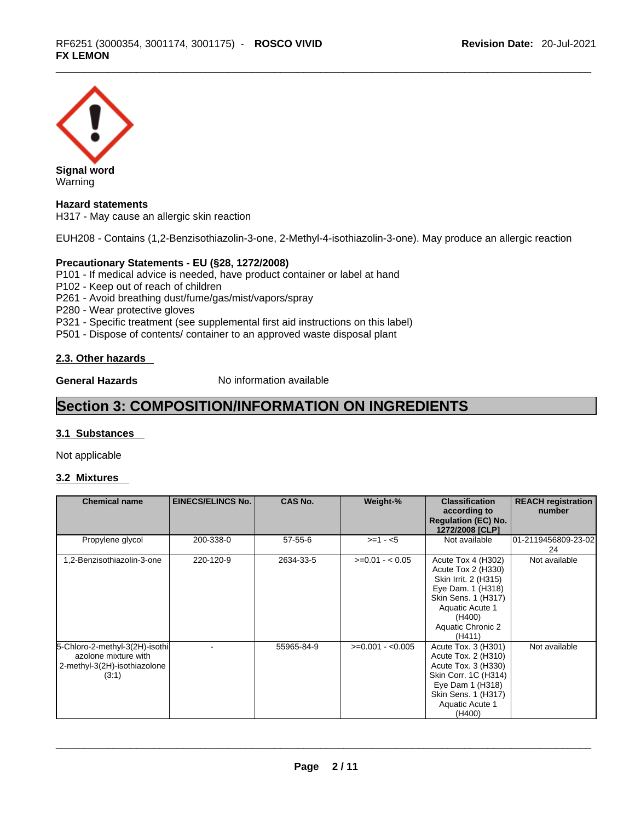

#### **Hazard statements**

H317 - May cause an allergic skin reaction

EUH208 - Contains (1,2-Benzisothiazolin-3-one, 2-Methyl-4-isothiazolin-3-one). May produce an allergic reaction

#### **Precautionary Statements - EU (§28, 1272/2008)**

P101 - If medical advice is needed, have product container or label at hand

P102 - Keep out of reach of children

P261 - Avoid breathing dust/fume/gas/mist/vapors/spray

P280 - Wear protective gloves

P321 - Specific treatment (see supplemental first aid instructions on this label)

P501 - Dispose of contents/ container to an approved waste disposal plant

#### **2.3. Other hazards**

**General Hazards No information available** 

## **Section 3: COMPOSITION/INFORMATION ON INGREDIENTS**

#### **3.1 Substances**

Not applicable

### **3.2 Mixtures**

| <b>Chemical name</b>                                                                            | <b>EINECS/ELINCS No.</b> | <b>CAS No.</b> | Weight-%          | <b>Classification</b><br>according to<br><b>Regulation (EC) No.</b><br>1272/2008 [CLP]                                                                                   | <b>REACH registration</b><br>number |
|-------------------------------------------------------------------------------------------------|--------------------------|----------------|-------------------|--------------------------------------------------------------------------------------------------------------------------------------------------------------------------|-------------------------------------|
| Propylene glycol                                                                                | 200-338-0                | $57 - 55 - 6$  | $>=1 - 5$         | Not available                                                                                                                                                            | 01-2119456809-23-02<br>24           |
| 1,2-Benzisothiazolin-3-one                                                                      | 220-120-9                | 2634-33-5      | $>=0.01 - 0.05$   | Acute Tox 4 (H302)<br>Acute Tox 2 (H330)<br>Skin Irrit. 2 (H315)<br>Eye Dam. 1 (H318)<br>Skin Sens. 1 (H317)<br>Aquatic Acute 1<br>(H400)<br>Aquatic Chronic 2<br>(H411) | Not available                       |
| 5-Chloro-2-methyl-3(2H)-isothi<br>azolone mixture with<br>2-methyl-3(2H)-isothiazolone<br>(3:1) |                          | 55965-84-9     | $>=0.001 - 0.005$ | Acute Tox. 3 (H301)<br>Acute Tox. 2 (H310)<br>Acute Tox. 3 (H330)<br>Skin Corr. 1C (H314)<br>Eye Dam 1 (H318)<br>Skin Sens. 1 (H317)<br>Aquatic Acute 1<br>(H400)        | Not available                       |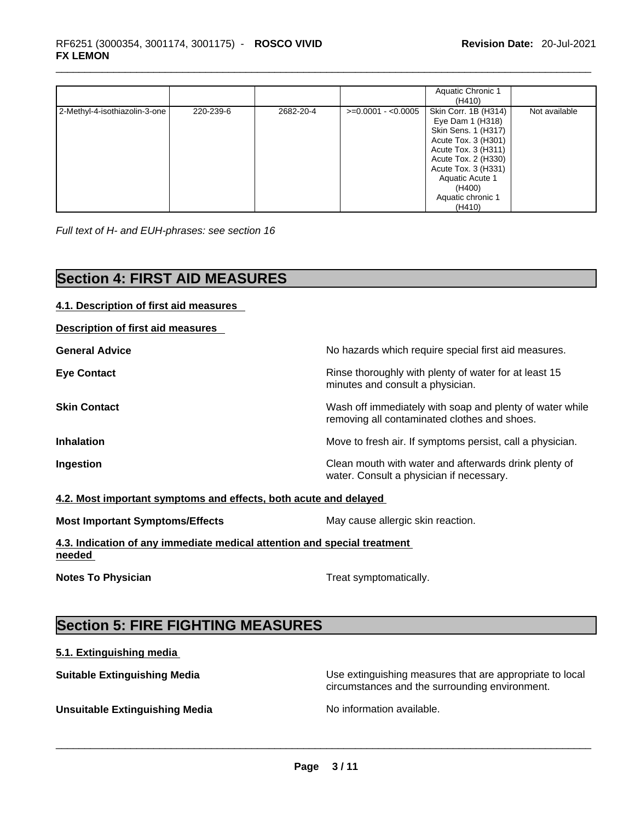|                               |           |           |                     | Aquatic Chronic 1<br>(H410)                                                                                                                                                                                             |               |
|-------------------------------|-----------|-----------|---------------------|-------------------------------------------------------------------------------------------------------------------------------------------------------------------------------------------------------------------------|---------------|
| 2-Methyl-4-isothiazolin-3-one | 220-239-6 | 2682-20-4 | $>=0.0001 - 0.0005$ | Skin Corr. 1B (H314)<br>Eye Dam 1 (H318)<br>Skin Sens. 1 (H317)<br>Acute Tox. 3 (H301)<br>Acute Tox. 3 (H311)<br>Acute Tox. 2 (H330)<br>Acute Tox. 3 (H331)<br>Aquatic Acute 1<br>(H400)<br>Aquatic chronic 1<br>(H410) | Not available |

*Full text of H- and EUH-phrases: see section 16* 

## **Section 4: FIRST AID MEASURES**

| 4.1. Description of first aid measures                                             |                                                                                                          |  |
|------------------------------------------------------------------------------------|----------------------------------------------------------------------------------------------------------|--|
| <b>Description of first aid measures</b>                                           |                                                                                                          |  |
| <b>General Advice</b>                                                              | No hazards which require special first aid measures.                                                     |  |
| <b>Eye Contact</b>                                                                 | Rinse thoroughly with plenty of water for at least 15<br>minutes and consult a physician.                |  |
| <b>Skin Contact</b>                                                                | Wash off immediately with soap and plenty of water while<br>removing all contaminated clothes and shoes. |  |
| <b>Inhalation</b>                                                                  | Move to fresh air. If symptoms persist, call a physician.                                                |  |
| Ingestion                                                                          | Clean mouth with water and afterwards drink plenty of<br>water. Consult a physician if necessary.        |  |
| 4.2. Most important symptoms and effects, both acute and delayed                   |                                                                                                          |  |
| <b>Most Important Symptoms/Effects</b>                                             | May cause allergic skin reaction.                                                                        |  |
| 4.3. Indication of any immediate medical attention and special treatment<br>needed |                                                                                                          |  |
| <b>Notes To Physician</b>                                                          | Treat symptomatically.                                                                                   |  |
|                                                                                    |                                                                                                          |  |
| <b>Section 5: FIRE FIGHTING MEASURES</b>                                           |                                                                                                          |  |

## **5.1. Extinguishing media**

**Suitable Extinguishing Media** Use extinguishing measures that are appropriate to local circumstances and the surrounding environment.

**Unsuitable Extinguishing Media** No information available. \_\_\_\_\_\_\_\_\_\_\_\_\_\_\_\_\_\_\_\_\_\_\_\_\_\_\_\_\_\_\_\_\_\_\_\_\_\_\_\_\_\_\_\_\_\_\_\_\_\_\_\_\_\_\_\_\_\_\_\_\_\_\_\_\_\_\_\_\_\_\_\_\_\_\_\_\_\_\_\_\_\_\_\_\_\_\_\_\_\_\_\_\_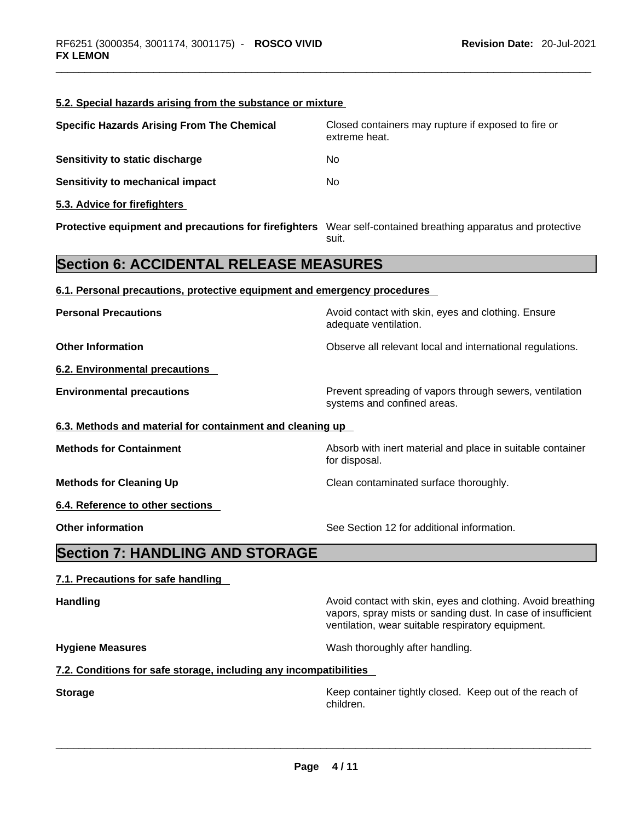| Closed containers may rupture if exposed to fire or                                                                         |
|-----------------------------------------------------------------------------------------------------------------------------|
|                                                                                                                             |
|                                                                                                                             |
|                                                                                                                             |
|                                                                                                                             |
| Protective equipment and precautions for firefighters Wear self-contained breathing apparatus and protective                |
|                                                                                                                             |
|                                                                                                                             |
| Avoid contact with skin, eyes and clothing. Ensure                                                                          |
| Observe all relevant local and international regulations.                                                                   |
|                                                                                                                             |
| Prevent spreading of vapors through sewers, ventilation                                                                     |
|                                                                                                                             |
| Absorb with inert material and place in suitable container                                                                  |
|                                                                                                                             |
|                                                                                                                             |
|                                                                                                                             |
|                                                                                                                             |
|                                                                                                                             |
| Avoid contact with skin, eyes and clothing. Avoid breathing<br>vapors, spray mists or sanding dust. In case of insufficient |
|                                                                                                                             |
|                                                                                                                             |
| Keep container tightly closed. Keep out of the reach of                                                                     |
|                                                                                                                             |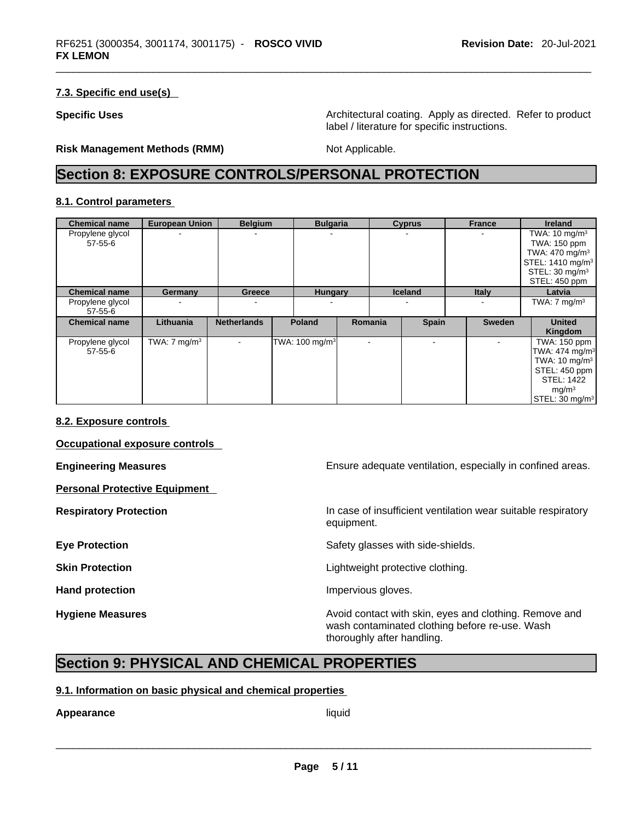#### **7.3. Specific end use(s)**

**Specific Uses <b>Specific Uses** Architectural coating. Apply as directed. Refer to product label / literature for specific instructions.

**Risk Management Methods (RMM)** Not Applicable.

## **Section 8: EXPOSURE CONTROLS/PERSONAL PROTECTION**

#### **8.1. Control parameters**

| <b>Chemical name</b>        | <b>European Union</b>   |                    | <b>Belgium</b><br><b>Bulgaria</b> |                            |                          | <b>Cyprus</b>  | <b>France</b> | <b>Ireland</b>               |
|-----------------------------|-------------------------|--------------------|-----------------------------------|----------------------------|--------------------------|----------------|---------------|------------------------------|
| Propylene glycol            |                         |                    |                                   |                            |                          |                |               | TWA: $10 \text{ mg/m}^3$     |
| 57-55-6                     |                         |                    |                                   |                            |                          |                |               | TWA: 150 ppm                 |
|                             |                         |                    |                                   |                            |                          |                |               | TWA: 470 mg/m <sup>3</sup>   |
|                             |                         |                    |                                   |                            |                          |                |               | STEL: 1410 mg/m <sup>3</sup> |
|                             |                         |                    |                                   |                            |                          |                |               | STEL: $30 \text{ mg/m}^3$    |
|                             |                         |                    |                                   |                            |                          |                |               | STEL: 450 ppm                |
| <b>Chemical name</b>        | Germany                 | <b>Greece</b>      |                                   | <b>Hungary</b>             |                          | <b>Iceland</b> | <b>Italy</b>  | Latvia                       |
| Propylene glycol<br>57-55-6 |                         |                    |                                   |                            |                          |                |               | TWA: $7 \text{ mg/m}^3$      |
| <b>Chemical name</b>        | Lithuania               | <b>Netherlands</b> |                                   | <b>Poland</b>              | Romania                  | <b>Spain</b>   | <b>Sweden</b> | <b>United</b>                |
|                             |                         |                    |                                   |                            |                          |                |               | Kingdom                      |
| Propylene glycol            | TWA: $7 \text{ mg/m}^3$ | $\sim$             |                                   | TWA: 100 mg/m <sup>3</sup> | $\overline{\phantom{a}}$ |                |               | TWA: 150 ppm                 |
| $57 - 55 - 6$               |                         |                    |                                   |                            |                          |                |               | TWA: $474$ mg/m <sup>3</sup> |
|                             |                         |                    |                                   |                            |                          |                |               | TWA: $10 \text{ mg/m}^3$     |
|                             |                         |                    |                                   |                            |                          |                |               | STEL: 450 ppm                |
|                             |                         |                    |                                   |                            |                          |                |               | <b>STEL: 1422</b>            |
|                             |                         |                    |                                   |                            |                          |                |               | mg/m <sup>3</sup>            |
|                             |                         |                    |                                   |                            |                          |                |               | STEL: 30 mg/m <sup>3</sup>   |

#### **8.2. Exposure controls**

**Occupational exposure controls** 

**Personal Protective Equipment** 

**Engineering Measures Ensure adequate ventilation, especially in confined areas.** 

**Respiratory Protection In case of insufficient ventilation wear suitable respiratory** equipment.

**Eye Protection <b>Exercise Eye** Protection **Safety glasses with side-shields.** 

**Skin Protection Contract Contract Exercise Contract Contract Lightweight protective clothing.** 

Hand protection **Impervious** gloves.

**Hygiene Measures Avoid contact with skin, eyes and clothing. Remove and Hygiene Measures** and clothing. Remove and wash contaminated clothing before re-use. Wash thoroughly after handling.

## **Section 9: PHYSICAL AND CHEMICAL PROPERTIES**

#### **9.1. Information on basic physical and chemical properties**

# **Appearance** liquid \_\_\_\_\_\_\_\_\_\_\_\_\_\_\_\_\_\_\_\_\_\_\_\_\_\_\_\_\_\_\_\_\_\_\_\_\_\_\_\_\_\_\_\_\_\_\_\_\_\_\_\_\_\_\_\_\_\_\_\_\_\_\_\_\_\_\_\_\_\_\_\_\_\_\_\_\_\_\_\_\_\_\_\_\_\_\_\_\_\_\_\_\_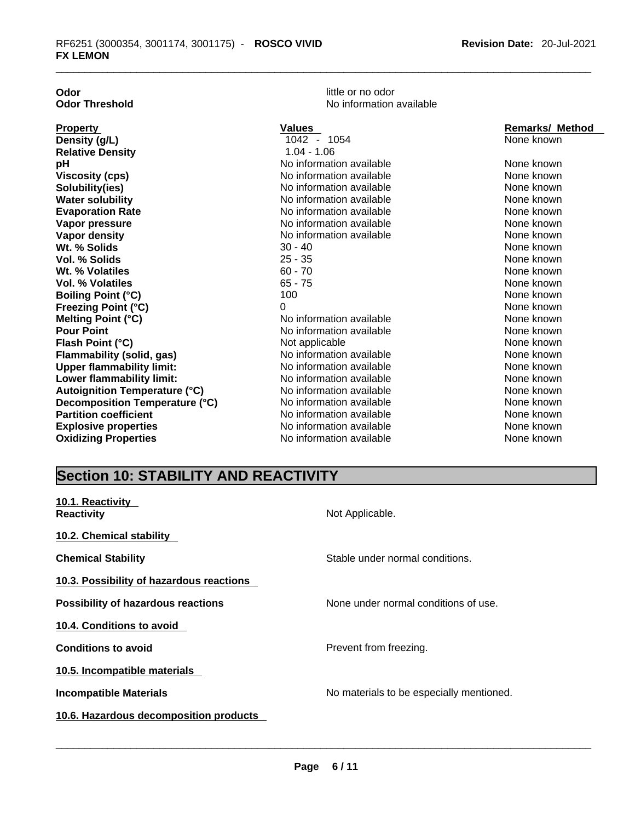| Odor                  |  |
|-----------------------|--|
| <b>Odor Threshold</b> |  |
|                       |  |
| <b>Property</b>       |  |
|                       |  |
| Density (g/L)         |  |

little or no odor **No information available** 

| <b>Property</b>                      | Values                   | <b>Remarks/ Method</b> |
|--------------------------------------|--------------------------|------------------------|
| Density (g/L)                        | 1042 - 1054              | None known             |
| <b>Relative Density</b>              | $1.04 - 1.06$            |                        |
| рH                                   | No information available | None known             |
| <b>Viscosity (cps)</b>               | No information available | None known             |
| Solubility(ies)                      | No information available | None known             |
| <b>Water solubility</b>              | No information available | None known             |
| <b>Evaporation Rate</b>              | No information available | None known             |
| Vapor pressure                       | No information available | None known             |
| Vapor density                        | No information available | None known             |
| Wt. % Solids                         | $30 - 40$                | None known             |
| <b>Vol. % Solids</b>                 | $25 - 35$                | None known             |
| Wt. % Volatiles                      | $60 - 70$                | None known             |
| <b>Vol. % Volatiles</b>              | $65 - 75$                | None known             |
| <b>Boiling Point (°C)</b>            | 100                      | None known             |
| <b>Freezing Point (°C)</b>           | 0                        | None known             |
| <b>Melting Point (°C)</b>            | No information available | None known             |
| <b>Pour Point</b>                    | No information available | None known             |
| Flash Point (°C)                     | Not applicable           | None known             |
| <b>Flammability (solid, gas)</b>     | No information available | None known             |
| <b>Upper flammability limit:</b>     | No information available | None known             |
| Lower flammability limit:            | No information available | None known             |
| <b>Autoignition Temperature (°C)</b> | No information available | None known             |
| Decomposition Temperature (°C)       | No information available | None known             |
| <b>Partition coefficient</b>         | No information available | None known             |
| <b>Explosive properties</b>          | No information available | None known             |
| <b>Oxidizing Properties</b>          | No information available | None known             |

## **Section 10: STABILITY AND REACTIVITY**

| 10.1. Reactivity<br><b>Reactivity</b>     | Not Applicable.                          |
|-------------------------------------------|------------------------------------------|
| 10.2. Chemical stability                  |                                          |
| <b>Chemical Stability</b>                 | Stable under normal conditions.          |
| 10.3. Possibility of hazardous reactions  |                                          |
| <b>Possibility of hazardous reactions</b> | None under normal conditions of use.     |
| 10.4. Conditions to avoid                 |                                          |
| <b>Conditions to avoid</b>                | Prevent from freezing.                   |
| 10.5. Incompatible materials              |                                          |
| <b>Incompatible Materials</b>             | No materials to be especially mentioned. |
| 10.6. Hazardous decomposition products    |                                          |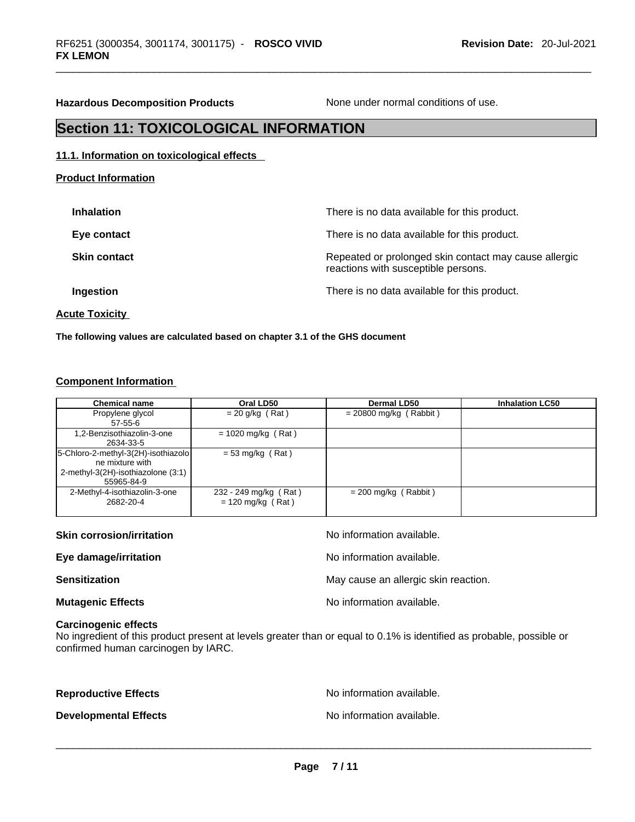**Hazardous Decomposition Products** None under normal conditions of use.

## **Section 11: TOXICOLOGICAL INFORMATION**

#### **11.1. Information on toxicological effects**

**Product Information**

| <b>Inhalation</b>   | There is no data available for this product.                                                 |
|---------------------|----------------------------------------------------------------------------------------------|
| Eye contact         | There is no data available for this product.                                                 |
| <b>Skin contact</b> | Repeated or prolonged skin contact may cause allergic<br>reactions with susceptible persons. |
| Ingestion           | There is no data available for this product.                                                 |
|                     |                                                                                              |

**Acute Toxicity** 

**The following values are calculated based on chapter 3.1 of the GHS document**

#### **Component Information**

| <b>Chemical name</b>                | Oral LD50             | <b>Dermal LD50</b>       | <b>Inhalation LC50</b> |
|-------------------------------------|-----------------------|--------------------------|------------------------|
| Propylene glycol                    | $= 20$ g/kg (Rat)     | $= 20800$ mg/kg (Rabbit) |                        |
| $57-55-6$                           |                       |                          |                        |
| 1,2-Benzisothiazolin-3-one          | $= 1020$ mg/kg (Rat)  |                          |                        |
| 2634-33-5                           |                       |                          |                        |
| 5-Chloro-2-methyl-3(2H)-isothiazolo | $= 53$ mg/kg (Rat)    |                          |                        |
| ne mixture with                     |                       |                          |                        |
| 2-methyl-3(2H)-isothiazolone (3:1)  |                       |                          |                        |
| 55965-84-9                          |                       |                          |                        |
| 2-Methyl-4-isothiazolin-3-one       | 232 - 249 mg/kg (Rat) | $= 200$ mg/kg (Rabbit)   |                        |
| 2682-20-4                           | $= 120$ mg/kg (Rat)   |                          |                        |
|                                     |                       |                          |                        |

| <b>Skin corrosion/irritation</b> | No information available.            |
|----------------------------------|--------------------------------------|
| Eye damage/irritation            | No information available.            |
| <b>Sensitization</b>             | May cause an allergic skin reaction. |
| <b>Mutagenic Effects</b>         | No information available.            |

#### **Carcinogenic effects**

No ingredient of this product present at levels greater than or equal to 0.1% is identified as probable, possible or confirmed human carcinogen by IARC.

**Reproductive Effects No information available.** No information available. **Developmental Effects** No information available. \_\_\_\_\_\_\_\_\_\_\_\_\_\_\_\_\_\_\_\_\_\_\_\_\_\_\_\_\_\_\_\_\_\_\_\_\_\_\_\_\_\_\_\_\_\_\_\_\_\_\_\_\_\_\_\_\_\_\_\_\_\_\_\_\_\_\_\_\_\_\_\_\_\_\_\_\_\_\_\_\_\_\_\_\_\_\_\_\_\_\_\_\_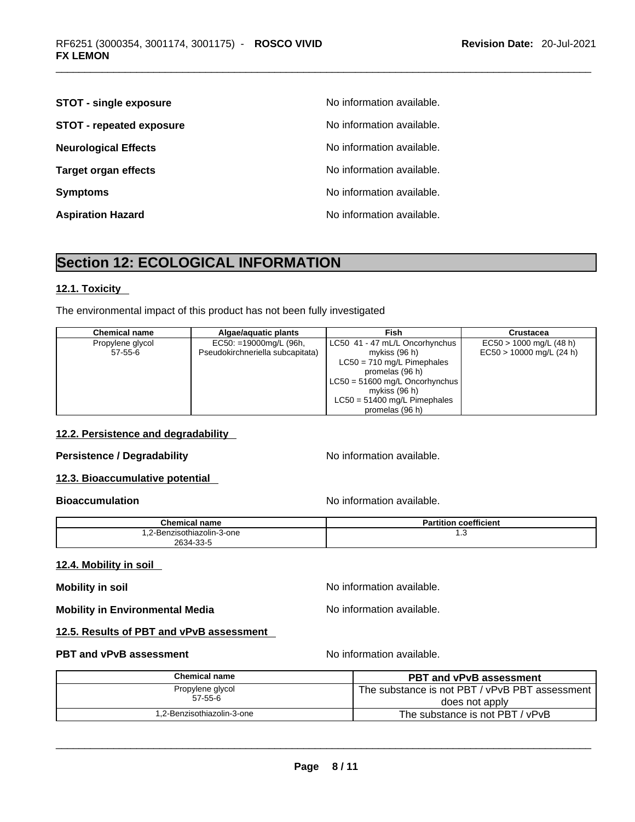| <b>STOT - single exposure</b>   | No information available. |
|---------------------------------|---------------------------|
| <b>STOT - repeated exposure</b> | No information available. |
| <b>Neurological Effects</b>     | No information available. |
| <b>Target organ effects</b>     | No information available. |
| <b>Symptoms</b>                 | No information available. |
| <b>Aspiration Hazard</b>        | No information available. |

# **Section 12: ECOLOGICAL INFORMATION**

#### **12.1. Toxicity**

The environmental impact of this product has not been fully investigated

| <b>Chemical name</b> | Algae/aquatic plants             | Fish                             | Crustacea                  |
|----------------------|----------------------------------|----------------------------------|----------------------------|
| Propylene glycol     | $EC50: = 19000mg/L$ (96h,        | LC50 41 - 47 mL/L Oncorhynchus   | $EC50 > 1000$ mg/L (48 h)  |
| $57 - 55 - 6$        | Pseudokirchneriella subcapitata) | mykiss (96 h)                    | $EC50 > 10000$ mg/L (24 h) |
|                      |                                  | $LC50 = 710$ mg/L Pimephales     |                            |
|                      |                                  | promelas (96 h)                  |                            |
|                      |                                  | $LC50 = 51600$ mg/L Oncorhynchus |                            |
|                      |                                  | mykiss (96 h)                    |                            |
|                      |                                  | $LC50 = 51400$ mg/L Pimephales   |                            |
|                      |                                  | promelas (96 h)                  |                            |

### **12.2. Persistence and degradability**

#### **Persistence / Degradability No information available.**

**12.3. Bioaccumulative potential** 

**Bioaccumulation Bioaccumulation Bioaccumulation** 

| <b>Chemical name</b>                            | <br>Partition<br>coefficient |
|-------------------------------------------------|------------------------------|
| .2-Benzisothiazolin-3-one<br>2634.33.5<br>ີນມີນ | ں. ا                         |

#### **12.4. Mobility in soil**

**Mobility in soil Mobility in soil Mobility in soil Mo No** information available.

**Mobility in Environmental Media** Noinformation available.

#### **12.5. Results of PBT and vPvB assessment**

#### **PBT** and **vPvB** assessment **Notify Apple 2011** No information available.

| <b>Chemical name</b>       | <b>PBT and vPvB assessment</b>                 |
|----------------------------|------------------------------------------------|
| Propylene glycol           | The substance is not PBT / vPvB PBT assessment |
| $57 - 55 - 6$              | does not apply                                 |
| 1,2-Benzisothiazolin-3-one | The substance is not PBT / vPvB                |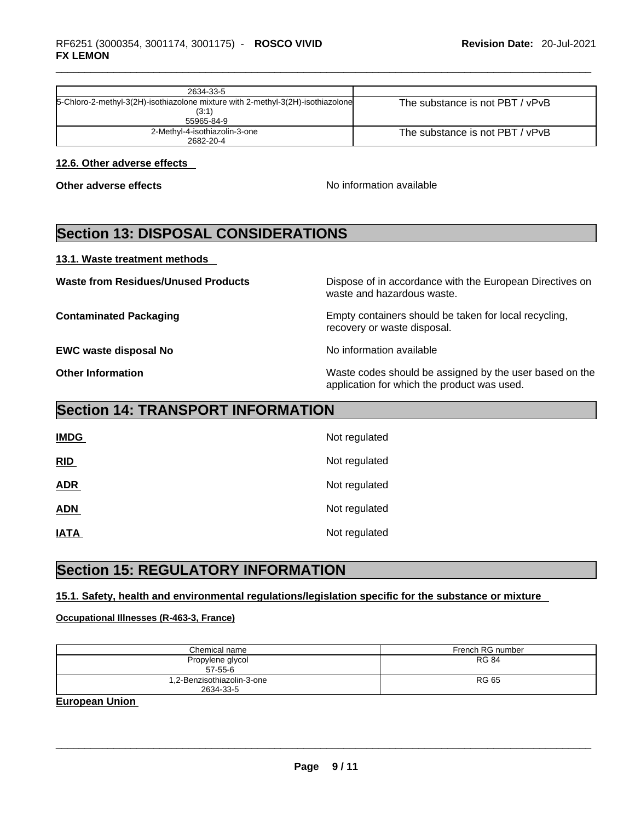| 2634-33-5                                                                       |                                 |
|---------------------------------------------------------------------------------|---------------------------------|
| 5-Chloro-2-methyl-3(2H)-isothiazolone mixture with 2-methyl-3(2H)-isothiazolone | The substance is not PBT / vPvB |
| (3:1)                                                                           |                                 |
| 55965-84-9                                                                      |                                 |
| 2-Methyl-4-isothiazolin-3-one                                                   | The substance is not PBT / vPvB |
| 2682-20-4                                                                       |                                 |

#### **12.6. Other adverse effects**

**Other adverse effects No information available Other adverse effects No information available** 

## **Section 13: DISPOSAL CONSIDERATIONS**

**13.1. Waste treatment methods** 

**EWC waste disposal No** Noinformation available

**Waste from Residues/Unused Products** Dispose of in accordance with the European Directives on waste and hazardous waste.

**Contaminated Packaging** Empty containers should be taken for local recycling, recovery or waste disposal.

**Other Information** Waste codes should be assigned by the user based on the application for which the product was used.

## **Section 14: TRANSPORT INFORMATION**

| <b>IMDG</b> | Not regulated |
|-------------|---------------|
| RID         | Not regulated |
| <b>ADR</b>  | Not regulated |
| <b>ADN</b>  | Not regulated |
| <b>IATA</b> | Not regulated |

## **Section 15: REGULATORY INFORMATION**

### **15.1. Safety, health and environmental regulations/legislation specific for the substance or mixture**

#### **Occupational Illnesses (R-463-3, France)**

| Chemical name                           | French RG number |
|-----------------------------------------|------------------|
| Propylene glycol<br>$57-55-6$           | <b>RG 84</b>     |
| 1,2-Benzisothiazolin-3-one<br>2634-33-5 | <b>RG 65</b>     |

**European Union**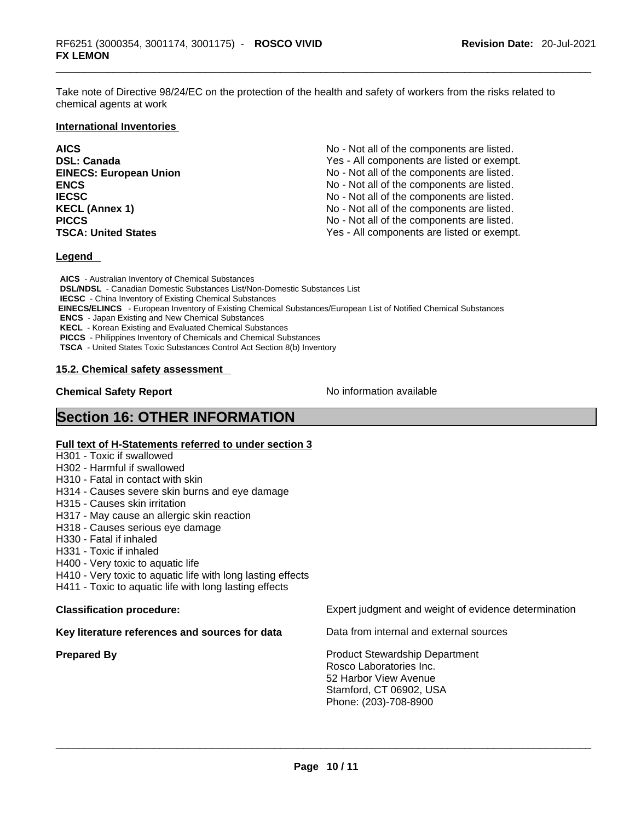Take note of Directive 98/24/EC on the protection of the health and safety of workers from the risks related to chemical agents at work

#### **International Inventories**

| <b>AICS</b>                   | No - Not all of the components are listed. |
|-------------------------------|--------------------------------------------|
| <b>DSL: Canada</b>            | Yes - All components are listed or exempt. |
| <b>EINECS: European Union</b> | No - Not all of the components are listed. |
| <b>ENCS</b>                   | No - Not all of the components are listed. |
| <b>IECSC</b>                  | No - Not all of the components are listed. |
| <b>KECL (Annex 1)</b>         | No - Not all of the components are listed. |
| <b>PICCS</b>                  | No - Not all of the components are listed. |
| <b>TSCA: United States</b>    | Yes - All components are listed or exempt. |

#### **Legend**

**AICS** - Australian Inventory of Chemical Substances **DSL/NDSL** - Canadian Domestic Substances List/Non-Domestic Substances List **IECSC** - China Inventory of Existing Chemical Substances  **EINECS/ELINCS** - European Inventory of Existing Chemical Substances/European List of Notified Chemical Substances **ENCS** - Japan Existing and New Chemical Substances **KECL** - Korean Existing and Evaluated Chemical Substances **PICCS** - Philippines Inventory of Chemicals and Chemical Substances **TSCA** - United States Toxic Substances Control Act Section 8(b) Inventory

#### **15.2. Chemical safety assessment**

**Chemical Safety Report Chemical Safety Report No information available** 

## **Section 16: OTHER INFORMATION**

#### **Full text of H-Statements referred to under section 3**

H301 - Toxic if swallowed

- H302 Harmful if swallowed
- H310 Fatal in contact with skin
- H314 Causes severe skin burns and eye damage
- H315 Causes skin irritation
- H317 May cause an allergic skin reaction
- H318 Causes serious eye damage
- H330 Fatal if inhaled
- H331 Toxic if inhaled
- H400 Very toxic to aquatic life
- H410 Very toxic to aquatic life with long lasting effects
- H411 Toxic to aquatic life with long lasting effects

#### **Key literature references and sources for data** Data from internal and external sources

**Classification procedure:** Expert judgment and weight of evidence determination

**Prepared By Product Stewardship Department** Rosco Laboratories Inc. 52 Harbor View Avenue Stamford, CT 06902, USA Phone: (203)-708-8900 \_\_\_\_\_\_\_\_\_\_\_\_\_\_\_\_\_\_\_\_\_\_\_\_\_\_\_\_\_\_\_\_\_\_\_\_\_\_\_\_\_\_\_\_\_\_\_\_\_\_\_\_\_\_\_\_\_\_\_\_\_\_\_\_\_\_\_\_\_\_\_\_\_\_\_\_\_\_\_\_\_\_\_\_\_\_\_\_\_\_\_\_\_